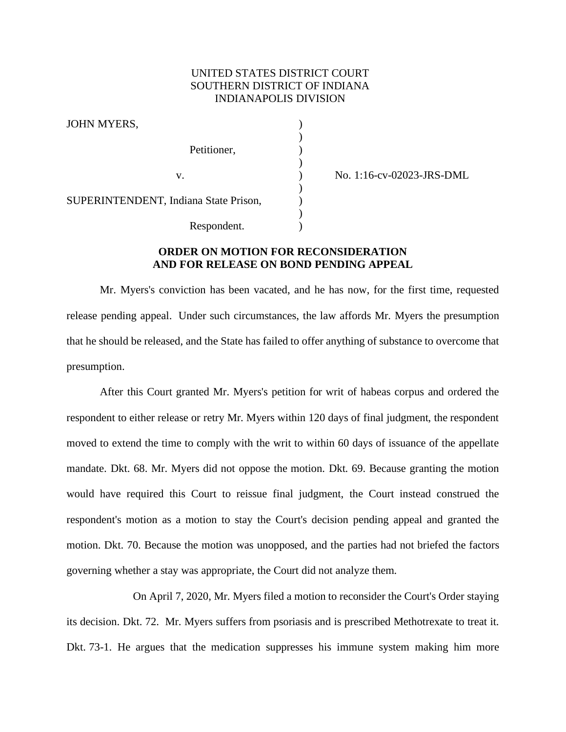# UNITED STATES DISTRICT COURT SOUTHERN DISTRICT OF INDIANA INDIANAPOLIS DIVISION

)

)

)

)

JOHN MYERS. Petitioner, SUPERINTENDENT, Indiana State Prison, Respondent.

v. ) No. 1:16-cv-02023-JRS-DML

## **ORDER ON MOTION FOR RECONSIDERATION AND FOR RELEASE ON BOND PENDING APPEAL**

Mr. Myers's conviction has been vacated, and he has now, for the first time, requested release pending appeal. Under such circumstances, the law affords Mr. Myers the presumption that he should be released, and the State has failed to offer anything of substance to overcome that presumption.

After this Court granted Mr. Myers's petition for writ of habeas corpus and ordered the respondent to either release or retry Mr. Myers within 120 days of final judgment, the respondent moved to extend the time to comply with the writ to within 60 days of issuance of the appellate mandate. Dkt. 68. Mr. Myers did not oppose the motion. Dkt. 69. Because granting the motion would have required this Court to reissue final judgment, the Court instead construed the respondent's motion as a motion to stay the Court's decision pending appeal and granted the motion. Dkt. 70. Because the motion was unopposed, and the parties had not briefed the factors governing whether a stay was appropriate, the Court did not analyze them.

On April 7, 2020, Mr. Myers filed a motion to reconsider the Court's Order staying its decision. Dkt. 72. Mr. Myers suffers from psoriasis and is prescribed Methotrexate to treat it. Dkt. 73-1. He argues that the medication suppresses his immune system making him more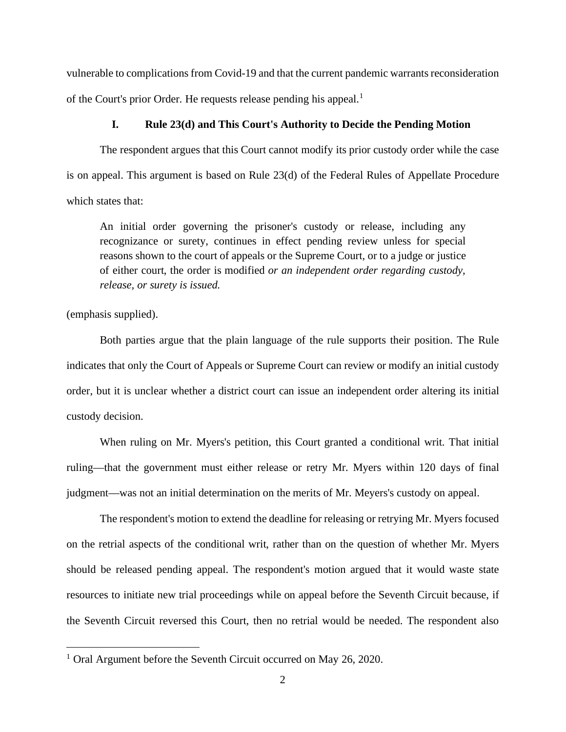vulnerable to complications from Covid-19 and that the current pandemic warrants reconsideration of the Court's prior Order. He requests release pending his appeal.<sup>[1](#page-1-0)</sup>

### **I. Rule 23(d) and This Court's Authority to Decide the Pending Motion**

The respondent argues that this Court cannot modify its prior custody order while the case is on appeal. This argument is based on Rule 23(d) of the Federal Rules of Appellate Procedure which states that:

An initial order governing the prisoner's custody or release, including any recognizance or surety, continues in effect pending review unless for special reasons shown to the court of appeals or the Supreme Court, or to a judge or justice of either court, the order is modified *or an independent order regarding custody, release, or surety is issued.*

## (emphasis supplied).

Both parties argue that the plain language of the rule supports their position. The Rule indicates that only the Court of Appeals or Supreme Court can review or modify an initial custody order, but it is unclear whether a district court can issue an independent order altering its initial custody decision.

When ruling on Mr. Myers's petition, this Court granted a conditional writ. That initial ruling—that the government must either release or retry Mr. Myers within 120 days of final judgment—was not an initial determination on the merits of Mr. Meyers's custody on appeal.

The respondent's motion to extend the deadline for releasing or retrying Mr. Myers focused on the retrial aspects of the conditional writ, rather than on the question of whether Mr. Myers should be released pending appeal. The respondent's motion argued that it would waste state resources to initiate new trial proceedings while on appeal before the Seventh Circuit because, if the Seventh Circuit reversed this Court, then no retrial would be needed. The respondent also

<span id="page-1-0"></span><sup>&</sup>lt;sup>1</sup> Oral Argument before the Seventh Circuit occurred on May 26, 2020.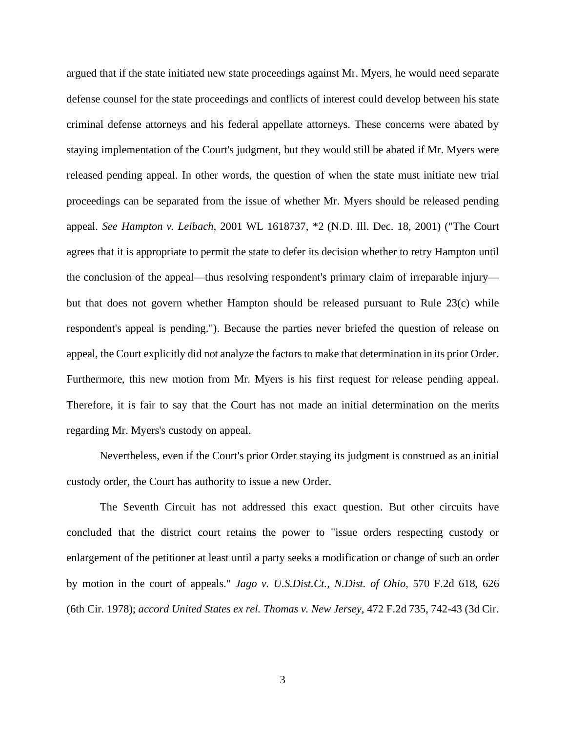argued that if the state initiated new state proceedings against Mr. Myers, he would need separate defense counsel for the state proceedings and conflicts of interest could develop between his state criminal defense attorneys and his federal appellate attorneys. These concerns were abated by staying implementation of the Court's judgment, but they would still be abated if Mr. Myers were released pending appeal. In other words, the question of when the state must initiate new trial proceedings can be separated from the issue of whether Mr. Myers should be released pending appeal. *See Hampton v. Leibach*, 2001 WL 1618737, \*2 (N.D. Ill. Dec. 18, 2001) ("The Court agrees that it is appropriate to permit the state to defer its decision whether to retry Hampton until the conclusion of the appeal—thus resolving respondent's primary claim of irreparable injury but that does not govern whether Hampton should be released pursuant to Rule 23(c) while respondent's appeal is pending."). Because the parties never briefed the question of release on appeal, the Court explicitly did not analyze the factors to make that determination in its prior Order. Furthermore, this new motion from Mr. Myers is his first request for release pending appeal. Therefore, it is fair to say that the Court has not made an initial determination on the merits regarding Mr. Myers's custody on appeal.

Nevertheless, even if the Court's prior Order staying its judgment is construed as an initial custody order, the Court has authority to issue a new Order.

The Seventh Circuit has not addressed this exact question. But other circuits have concluded that the district court retains the power to "issue orders respecting custody or enlargement of the petitioner at least until a party seeks a modification or change of such an order by motion in the court of appeals." *Jago v. U.S.Dist.Ct., N.Dist. of Ohio,* 570 F.2d 618, 626 (6th Cir. 1978); *accord United States ex rel. Thomas v. New Jersey*, 472 F.2d 735, 742-43 (3d Cir.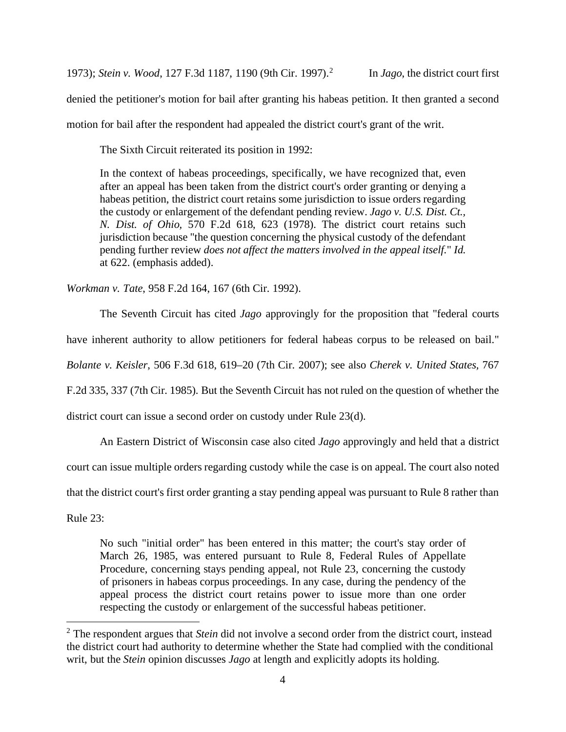1973); *Stein v. Wood*, 127 F.3d 1187, 1190 (9th Cir. 1997).[2](#page-3-0)

denied the petitioner's motion for bail after granting his habeas petition. It then granted a second

motion for bail after the respondent had appealed the district court's grant of the writ.

The Sixth Circuit reiterated its position in 1992:

In the context of habeas proceedings, specifically, we have recognized that, even after an appeal has been taken from the district court's order granting or denying a habeas petition, the district court retains some jurisdiction to issue orders regarding the custody or enlargement of the defendant pending review. *Jago v. U.S. Dist. Ct., N. Dist. of Ohio,* 570 F.2d 618, 623 (1978). The district court retains such jurisdiction because "the question concerning the physical custody of the defendant pending further review *does not affect the matters involved in the appeal itself.*" *Id.* at 622. (emphasis added).

*Workman v. Tate*, 958 F.2d 164, 167 (6th Cir. 1992).

The Seventh Circuit has cited *Jago* approvingly for the proposition that "federal courts have inherent authority to allow petitioners for federal habeas corpus to be released on bail." *Bolante v. Keisler*, 506 F.3d 618, 619–20 (7th Cir. 2007); see also *Cherek v. United States,* 767 F.2d 335, 337 (7th Cir. 1985). But the Seventh Circuit has not ruled on the question of whether the district court can issue a second order on custody under Rule 23(d).

An Eastern District of Wisconsin case also cited *Jago* approvingly and held that a district

court can issue multiple orders regarding custody while the case is on appeal. The court also noted

that the district court's first order granting a stay pending appeal was pursuant to Rule 8 rather than

Rule 23:

No such "initial order" has been entered in this matter; the court's stay order of March 26, 1985, was entered pursuant to Rule 8, Federal Rules of Appellate Procedure, concerning stays pending appeal, not Rule 23, concerning the custody of prisoners in habeas corpus proceedings. In any case, during the pendency of the appeal process the district court retains power to issue more than one order respecting the custody or enlargement of the successful habeas petitioner.

<span id="page-3-0"></span><sup>2</sup> The respondent argues that *Stein* did not involve a second order from the district court, instead the district court had authority to determine whether the State had complied with the conditional writ, but the *Stein* opinion discusses *Jago* at length and explicitly adopts its holding.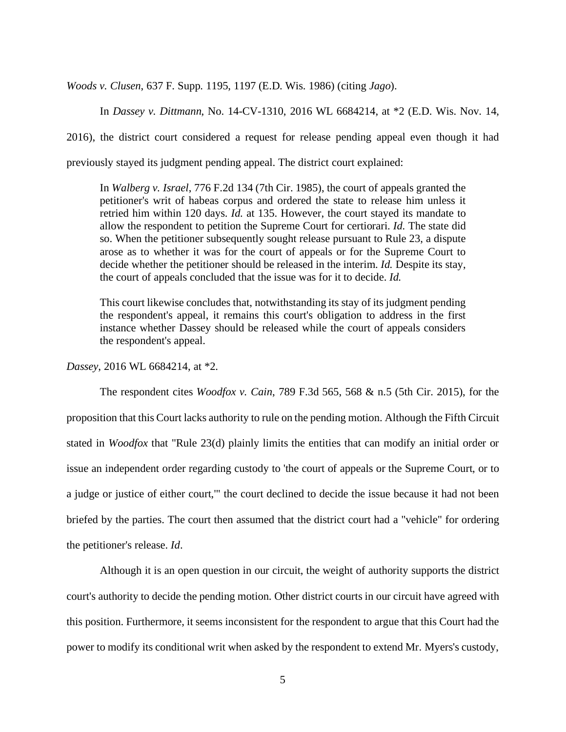*Woods v. Clusen*, 637 F. Supp. 1195, 1197 (E.D. Wis. 1986) (citing *Jago*).

In *Dassey v. Dittmann*, No. 14-CV-1310, 2016 WL 6684214, at \*2 (E.D. Wis. Nov. 14,

2016), the district court considered a request for release pending appeal even though it had

previously stayed its judgment pending appeal. The district court explained:

In *Walberg v. Israel*, 776 F.2d 134 (7th Cir. 1985), the court of appeals granted the petitioner's writ of habeas corpus and ordered the state to release him unless it retried him within 120 days. *Id.* at 135. However, the court stayed its mandate to allow the respondent to petition the Supreme Court for certiorari. *Id.* The state did so. When the petitioner subsequently sought release pursuant to Rule 23, a dispute arose as to whether it was for the court of appeals or for the Supreme Court to decide whether the petitioner should be released in the interim. *Id.* Despite its stay, the court of appeals concluded that the issue was for it to decide. *Id.*

This court likewise concludes that, notwithstanding its stay of its judgment pending the respondent's appeal, it remains this court's obligation to address in the first instance whether Dassey should be released while the court of appeals considers the respondent's appeal.

*Dassey*, 2016 WL 6684214, at \*2.

The respondent cites *Woodfox v. Cain*, 789 F.3d 565, 568 & n.5 (5th Cir. 2015), for the proposition that this Court lacks authority to rule on the pending motion. Although the Fifth Circuit stated in *Woodfox* that "Rule 23(d) plainly limits the entities that can modify an initial order or issue an independent order regarding custody to 'the court of appeals or the Supreme Court, or to a judge or justice of either court,'" the court declined to decide the issue because it had not been briefed by the parties. The court then assumed that the district court had a "vehicle" for ordering the petitioner's release. *Id*.

Although it is an open question in our circuit, the weight of authority supports the district court's authority to decide the pending motion. Other district courts in our circuit have agreed with this position. Furthermore, it seems inconsistent for the respondent to argue that this Court had the power to modify its conditional writ when asked by the respondent to extend Mr. Myers's custody,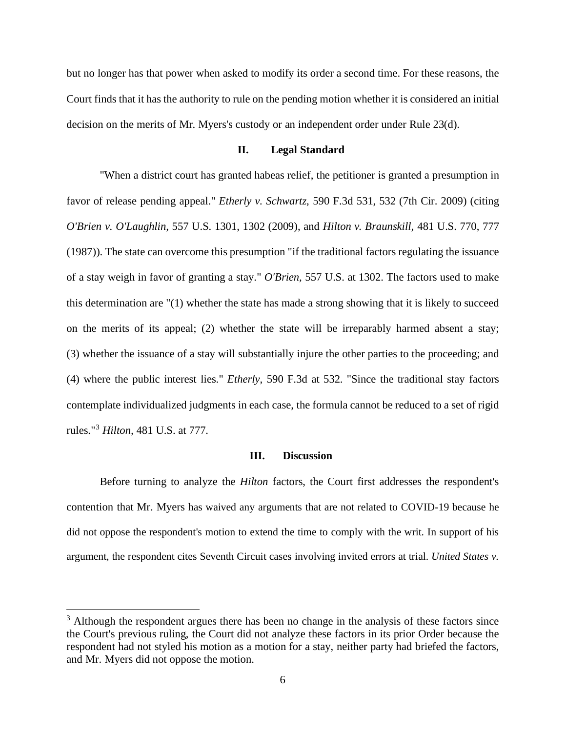but no longer has that power when asked to modify its order a second time. For these reasons, the Court finds that it has the authority to rule on the pending motion whether it is considered an initial decision on the merits of Mr. Myers's custody or an independent order under Rule 23(d).

### **II. Legal Standard**

"When a district court has granted habeas relief, the petitioner is granted a presumption in favor of release pending appeal." *Etherly v. Schwartz*, 590 F.3d 531, 532 (7th Cir. 2009) (citing *O'Brien v. O'Laughlin,* 557 U.S. 1301, 1302 (2009), and *Hilton v. Braunskill,* 481 U.S. 770, 777 (1987)). The state can overcome this presumption "if the traditional factors regulating the issuance of a stay weigh in favor of granting a stay." *O'Brien,* 557 U.S. at 1302. The factors used to make this determination are "(1) whether the state has made a strong showing that it is likely to succeed on the merits of its appeal; (2) whether the state will be irreparably harmed absent a stay; (3) whether the issuance of a stay will substantially injure the other parties to the proceeding; and (4) where the public interest lies." *Etherly*, 590 F.3d at 532. "Since the traditional stay factors contemplate individualized judgments in each case, the formula cannot be reduced to a set of rigid rules."[3](#page-5-0) *Hilton,* 481 U.S. at 777.

#### **III. Discussion**

Before turning to analyze the *Hilton* factors, the Court first addresses the respondent's contention that Mr. Myers has waived any arguments that are not related to COVID-19 because he did not oppose the respondent's motion to extend the time to comply with the writ. In support of his argument, the respondent cites Seventh Circuit cases involving invited errors at trial. *United States v.* 

<span id="page-5-0"></span> $3$  Although the respondent argues there has been no change in the analysis of these factors since the Court's previous ruling, the Court did not analyze these factors in its prior Order because the respondent had not styled his motion as a motion for a stay, neither party had briefed the factors, and Mr. Myers did not oppose the motion.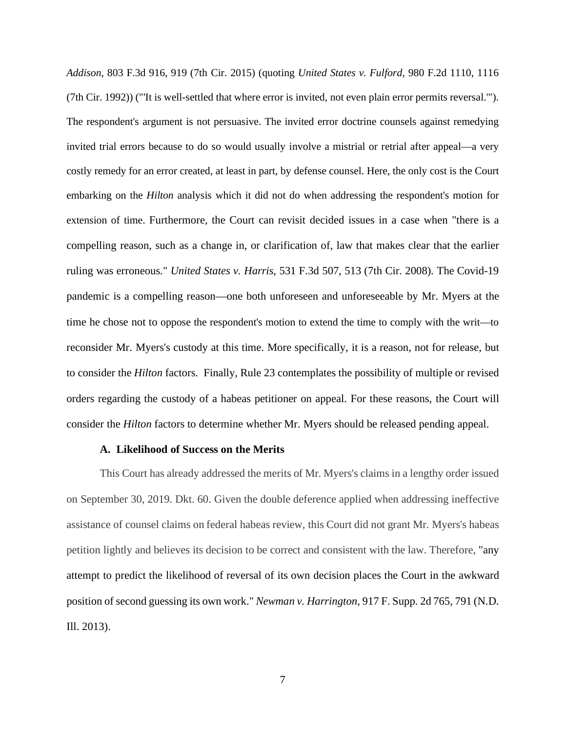*Addison*, 803 F.3d 916, 919 (7th Cir. 2015) (quoting *United States v. Fulford*, 980 F.2d 1110, 1116 (7th Cir. 1992)) ("'It is well-settled that where error is invited, not even plain error permits reversal.'"). The respondent's argument is not persuasive. The invited error doctrine counsels against remedying invited trial errors because to do so would usually involve a mistrial or retrial after appeal—a very costly remedy for an error created, at least in part, by defense counsel. Here, the only cost is the Court embarking on the *Hilton* analysis which it did not do when addressing the respondent's motion for extension of time. Furthermore, the Court can revisit decided issues in a case when "there is a compelling reason, such as a change in, or clarification of, law that makes clear that the earlier ruling was erroneous." *United States v. Harris*, 531 F.3d 507, 513 (7th Cir. 2008). The Covid-19 pandemic is a compelling reason—one both unforeseen and unforeseeable by Mr. Myers at the time he chose not to oppose the respondent's motion to extend the time to comply with the writ—to reconsider Mr. Myers's custody at this time. More specifically, it is a reason, not for release, but to consider the *Hilton* factors. Finally, Rule 23 contemplates the possibility of multiple or revised orders regarding the custody of a habeas petitioner on appeal. For these reasons, the Court will consider the *Hilton* factors to determine whether Mr. Myers should be released pending appeal.

#### **A. Likelihood of Success on the Merits**

This Court has already addressed the merits of Mr. Myers's claims in a lengthy order issued on September 30, 2019. Dkt. 60. Given the double deference applied when addressing ineffective assistance of counsel claims on federal habeas review, this Court did not grant Mr. Myers's habeas petition lightly and believes its decision to be correct and consistent with the law. Therefore, "any attempt to predict the likelihood of reversal of its own decision places the Court in the awkward position of second guessing its own work." *Newman v. Harrington*, 917 F. Supp. 2d 765, 791 (N.D. Ill. 2013).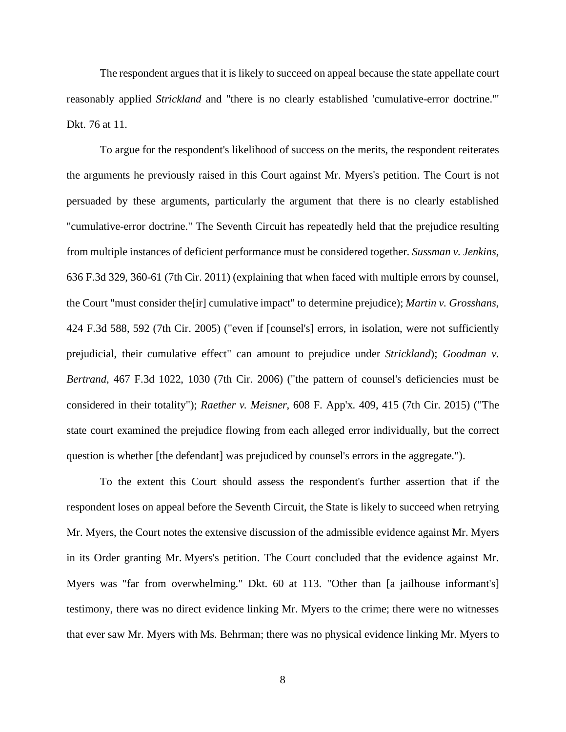The respondent argues that it is likely to succeed on appeal because the state appellate court reasonably applied *Strickland* and "there is no clearly established 'cumulative-error doctrine.'" Dkt. 76 at 11.

To argue for the respondent's likelihood of success on the merits, the respondent reiterates the arguments he previously raised in this Court against Mr. Myers's petition. The Court is not persuaded by these arguments, particularly the argument that there is no clearly established "cumulative-error doctrine." The Seventh Circuit has repeatedly held that the prejudice resulting from multiple instances of deficient performance must be considered together. *Sussman v. Jenkins*, 636 F.3d 329, 360-61 (7th Cir. 2011) (explaining that when faced with multiple errors by counsel, the Court "must consider the[ir] cumulative impact" to determine prejudice); *Martin v. Grosshans*, 424 F.3d 588, 592 (7th Cir. 2005) ("even if [counsel's] errors, in isolation, were not sufficiently prejudicial, their cumulative effect" can amount to prejudice under *Strickland*); *Goodman v. Bertrand*, 467 F.3d 1022, 1030 (7th Cir. 2006) ("the pattern of counsel's deficiencies must be considered in their totality"); *Raether v. Meisner*, 608 F. App'x. 409, 415 (7th Cir. 2015) ("The state court examined the prejudice flowing from each alleged error individually, but the correct question is whether [the defendant] was prejudiced by counsel's errors in the aggregate.").

To the extent this Court should assess the respondent's further assertion that if the respondent loses on appeal before the Seventh Circuit, the State is likely to succeed when retrying Mr. Myers, the Court notes the extensive discussion of the admissible evidence against Mr. Myers in its Order granting Mr. Myers's petition. The Court concluded that the evidence against Mr. Myers was "far from overwhelming." Dkt. 60 at 113. "Other than [a jailhouse informant's] testimony, there was no direct evidence linking Mr. Myers to the crime; there were no witnesses that ever saw Mr. Myers with Ms. Behrman; there was no physical evidence linking Mr. Myers to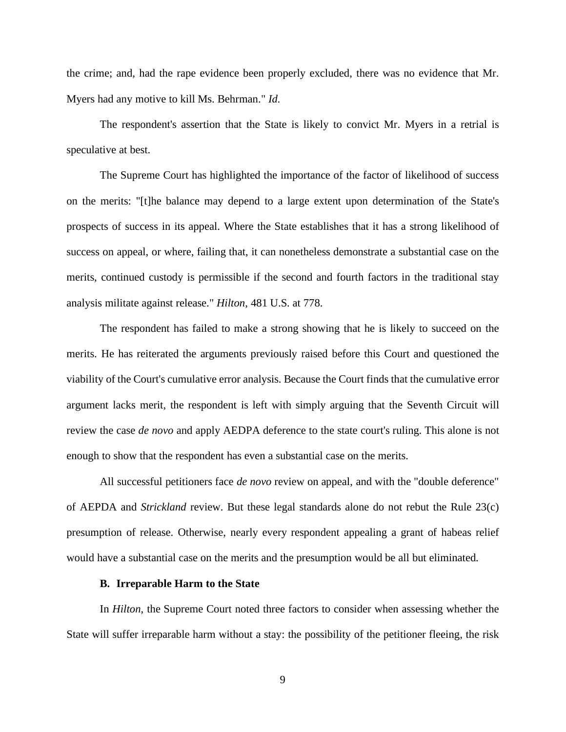the crime; and, had the rape evidence been properly excluded, there was no evidence that Mr. Myers had any motive to kill Ms. Behrman." *Id*.

The respondent's assertion that the State is likely to convict Mr. Myers in a retrial is speculative at best.

The Supreme Court has highlighted the importance of the factor of likelihood of success on the merits: "[t]he balance may depend to a large extent upon determination of the State's prospects of success in its appeal. Where the State establishes that it has a strong likelihood of success on appeal, or where, failing that, it can nonetheless demonstrate a substantial case on the merits, continued custody is permissible if the second and fourth factors in the traditional stay analysis militate against release." *Hilton*, 481 U.S. at 778.

The respondent has failed to make a strong showing that he is likely to succeed on the merits. He has reiterated the arguments previously raised before this Court and questioned the viability of the Court's cumulative error analysis. Because the Court finds that the cumulative error argument lacks merit, the respondent is left with simply arguing that the Seventh Circuit will review the case *de novo* and apply AEDPA deference to the state court's ruling. This alone is not enough to show that the respondent has even a substantial case on the merits.

All successful petitioners face *de novo* review on appeal, and with the "double deference" of AEPDA and *Strickland* review. But these legal standards alone do not rebut the [Rule 23\(c\)](https://1.next.westlaw.com/Link/Document/FullText?findType=L&pubNum=1000599&cite=USFRAPR23&originatingDoc=I501dc770ab4911e6972aa83e6c16e5f7&refType=LQ&originationContext=document&transitionType=DocumentItem&contextData=(sc.Keycite)) presumption of release. Otherwise, nearly every respondent appealing a grant of habeas relief would have a substantial case on the merits and the presumption would be all but eliminated.

#### **B. Irreparable Harm to the State**

In *Hilton*, the Supreme Court noted three factors to consider when assessing whether the State will suffer irreparable harm without a stay: the possibility of the petitioner fleeing, the risk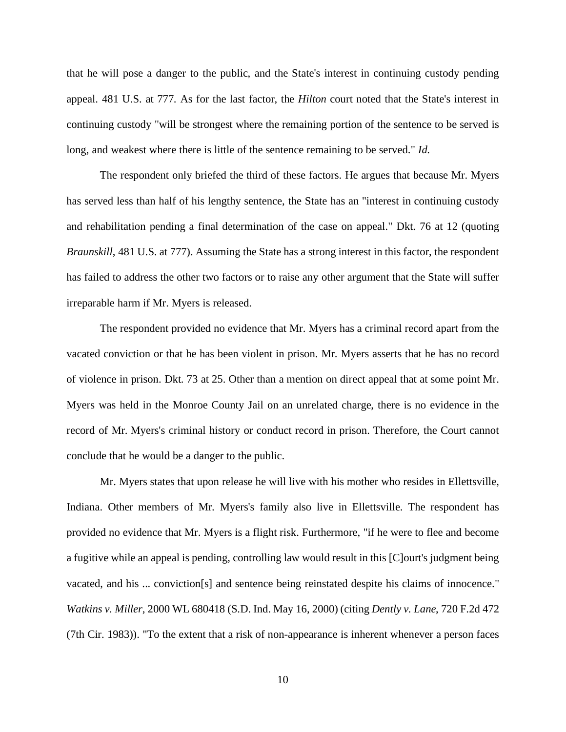that he will pose a danger to the public, and the State's interest in continuing custody pending appeal. 481 U.S. at 777. As for the last factor, the *Hilton* court noted that the State's interest in continuing custody "will be strongest where the remaining portion of the sentence to be served is long, and weakest where there is little of the sentence remaining to be served." *Id*.

The respondent only briefed the third of these factors. He argues that because Mr. Myers has served less than half of his lengthy sentence, the State has an "interest in continuing custody and rehabilitation pending a final determination of the case on appeal." Dkt. 76 at 12 (quoting *Braunskill*, 481 U.S. at 777). Assuming the State has a strong interest in this factor, the respondent has failed to address the other two factors or to raise any other argument that the State will suffer irreparable harm if Mr. Myers is released.

The respondent provided no evidence that Mr. Myers has a criminal record apart from the vacated conviction or that he has been violent in prison. Mr. Myers asserts that he has no record of violence in prison. Dkt. 73 at 25. Other than a mention on direct appeal that at some point Mr. Myers was held in the Monroe County Jail on an unrelated charge, there is no evidence in the record of Mr. Myers's criminal history or conduct record in prison. Therefore, the Court cannot conclude that he would be a danger to the public.

Mr. Myers states that upon release he will live with his mother who resides in Ellettsville, Indiana. Other members of Mr. Myers's family also live in Ellettsville. The respondent has provided no evidence that Mr. Myers is a flight risk. Furthermore, "if he were to flee and become a fugitive while an appeal is pending, controlling law would result in this [C]ourt's judgment being vacated, and his ... conviction[s] and sentence being reinstated despite his claims of innocence." *Watkins v. Miller*, 2000 WL 680418 (S.D. Ind. May 16, 2000) (citing *Dently v. Lane*, 720 F.2d 472 (7th Cir. 1983)). "To the extent that a risk of non-appearance is inherent whenever a person faces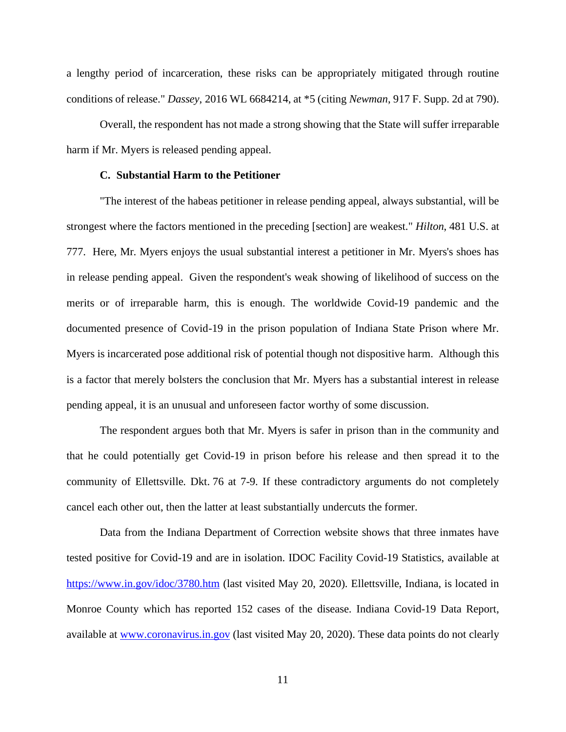a lengthy period of incarceration, these risks can be appropriately mitigated through routine conditions of release." *Dassey*, 2016 WL 6684214, at \*5 (citing *Newman*, 917 F. Supp. 2d at 790).

Overall, the respondent has not made a strong showing that the State will suffer irreparable harm if Mr. Myers is released pending appeal.

# **C. Substantial Harm to the Petitioner**

"The interest of the habeas petitioner in release pending appeal, always substantial, will be strongest where the factors mentioned in the preceding [section] are weakest." *Hilton*, 481 U.S. at 777. Here, Mr. Myers enjoys the usual substantial interest a petitioner in Mr. Myers's shoes has in release pending appeal. Given the respondent's weak showing of likelihood of success on the merits or of irreparable harm, this is enough. The worldwide Covid-19 pandemic and the documented presence of Covid-19 in the prison population of Indiana State Prison where Mr. Myers is incarcerated pose additional risk of potential though not dispositive harm. Although this is a factor that merely bolsters the conclusion that Mr. Myers has a substantial interest in release pending appeal, it is an unusual and unforeseen factor worthy of some discussion.

The respondent argues both that Mr. Myers is safer in prison than in the community and that he could potentially get Covid-19 in prison before his release and then spread it to the community of Ellettsville. Dkt. 76 at 7-9. If these contradictory arguments do not completely cancel each other out, then the latter at least substantially undercuts the former.

Data from the Indiana Department of Correction website shows that three inmates have tested positive for Covid-19 and are in isolation. IDOC Facility Covid-19 Statistics, available at <https://www.in.gov/idoc/3780.htm> (last visited May 20, 2020). Ellettsville, Indiana, is located in Monroe County which has reported 152 cases of the disease. Indiana Covid-19 Data Report, available at [www.coronavirus.in.gov](http://www.coronavirus.in.gov/) (last visited May 20, 2020). These data points do not clearly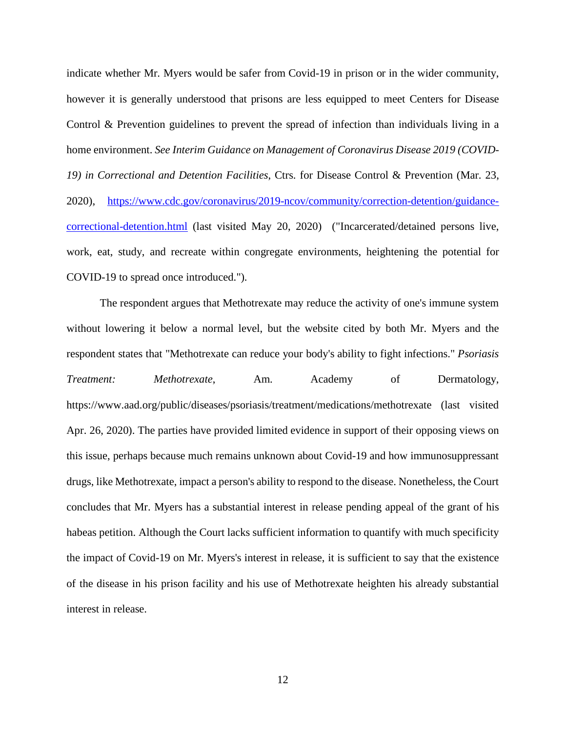indicate whether Mr. Myers would be safer from Covid-19 in prison or in the wider community, however it is generally understood that prisons are less equipped to meet Centers for Disease Control & Prevention guidelines to prevent the spread of infection than individuals living in a home environment. *See Interim Guidance on Management of Coronavirus Disease 2019 (COVID-19) in Correctional and Detention Facilities*, Ctrs. for Disease Control & Prevention (Mar. 23, 2020), [https://www.cdc.gov/coronavirus/2019-ncov/community/correction-detention/guidance](https://www.cdc.gov/coronavirus/2019-ncov/community/correction-detention/guidance-correctional-detention.html)[correctional-detention.html](https://www.cdc.gov/coronavirus/2019-ncov/community/correction-detention/guidance-correctional-detention.html) (last visited May 20, 2020) ("Incarcerated/detained persons live, work, eat, study, and recreate within congregate environments, heightening the potential for COVID-19 to spread once introduced.").

The respondent argues that Methotrexate may reduce the activity of one's immune system without lowering it below a normal level, but the website cited by both Mr. Myers and the respondent states that "Methotrexate can reduce your body's ability to fight infections." *Psoriasis Treatment: Methotrexate*, Am. Academy of Dermatology, https://www.aad.org/public/diseases/psoriasis/treatment/medications/methotrexate (last visited Apr. 26, 2020). The parties have provided limited evidence in support of their opposing views on this issue, perhaps because much remains unknown about Covid-19 and how immunosuppressant drugs, like Methotrexate, impact a person's ability to respond to the disease. Nonetheless, the Court concludes that Mr. Myers has a substantial interest in release pending appeal of the grant of his habeas petition. Although the Court lacks sufficient information to quantify with much specificity the impact of Covid-19 on Mr. Myers's interest in release, it is sufficient to say that the existence of the disease in his prison facility and his use of Methotrexate heighten his already substantial interest in release.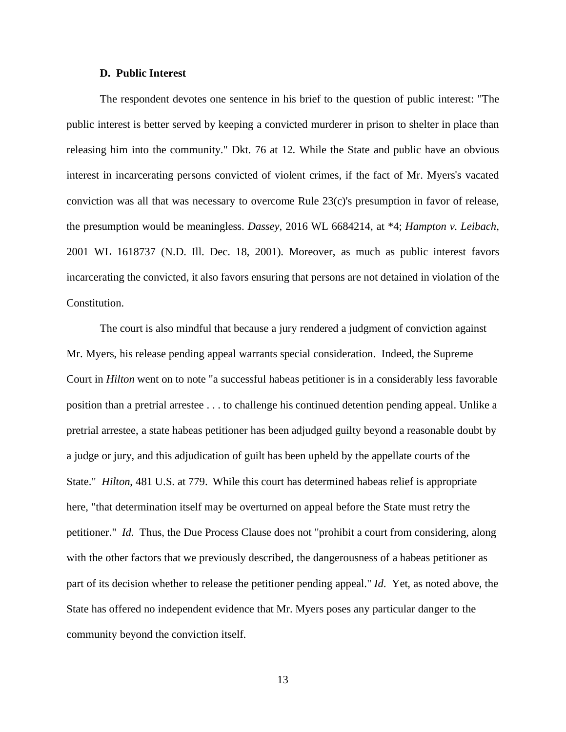### **D. Public Interest**

The respondent devotes one sentence in his brief to the question of public interest: "The public interest is better served by keeping a convicted murderer in prison to shelter in place than releasing him into the community." Dkt. 76 at 12. While the State and public have an obvious interest in incarcerating persons convicted of violent crimes, if the fact of Mr. Myers's vacated conviction was all that was necessary to overcome Rule 23(c)'s presumption in favor of release, the presumption would be meaningless. *Dassey*, 2016 WL 6684214, at \*4; *Hampton v. Leibach*, 2001 WL 1618737 (N.D. Ill. Dec. 18, 2001). Moreover, as much as public interest favors incarcerating the convicted, it also favors ensuring that persons are not detained in violation of the Constitution.

The court is also mindful that because a jury rendered a judgment of conviction against Mr. Myers, his release pending appeal warrants special consideration. Indeed, the Supreme Court in *Hilton* went on to note "a successful habeas petitioner is in a considerably less favorable position than a pretrial arrestee . . . to challenge his continued detention pending appeal. Unlike a pretrial arrestee, a state habeas petitioner has been adjudged guilty beyond a reasonable doubt by a judge or jury, and this adjudication of guilt has been upheld by the appellate courts of the State." *Hilton*, 481 U.S. at 779. While this court has determined habeas relief is appropriate here, "that determination itself may be overturned on appeal before the State must retry the petitioner." *Id.* Thus, the Due Process Clause does not "prohibit a court from considering, along with the other factors that we previously described, the dangerousness of a habeas petitioner as part of its decision whether to release the petitioner pending appeal." *Id*. Yet, as noted above, the State has offered no independent evidence that Mr. Myers poses any particular danger to the community beyond the conviction itself.

13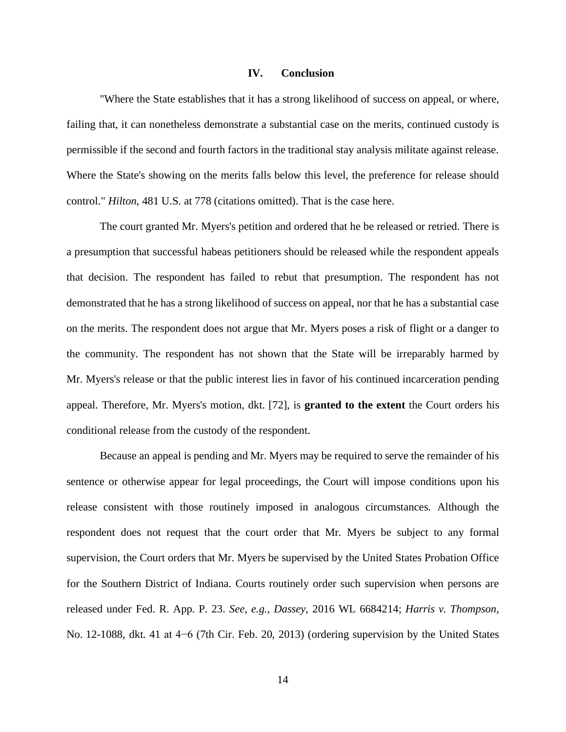#### **IV. Conclusion**

"Where the State establishes that it has a strong likelihood of success on appeal, or where, failing that, it can nonetheless demonstrate a substantial case on the merits, continued custody is permissible if the second and fourth factors in the traditional stay analysis militate against release. Where the State's showing on the merits falls below this level, the preference for release should control." *Hilton*, 481 U.S. at 778 (citations omitted). That is the case here.

The court granted Mr. Myers's petition and ordered that he be released or retried. There is a presumption that successful habeas petitioners should be released while the respondent appeals that decision. The respondent has failed to rebut that presumption. The respondent has not demonstrated that he has a strong likelihood of success on appeal, nor that he has a substantial case on the merits. The respondent does not argue that Mr. Myers poses a risk of flight or a danger to the community. The respondent has not shown that the State will be irreparably harmed by Mr. Myers's release or that the public interest lies in favor of his continued incarceration pending appeal. Therefore, Mr. Myers's motion, dkt. [72], is **granted to the extent** the Court orders his conditional release from the custody of the respondent.

Because an appeal is pending and Mr. Myers may be required to serve the remainder of his sentence or otherwise appear for legal proceedings, the Court will impose conditions upon his release consistent with those routinely imposed in analogous circumstances. Although the respondent does not request that the court order that Mr. Myers be subject to any formal supervision, the Court orders that Mr. Myers be supervised by the United States Probation Office for the Southern District of Indiana. Courts routinely order such supervision when persons are released under Fed. R. App. P. 23. *See, e.g.*, *Dassey*, 2016 WL 6684214; *Harris v. Thompson*, No. 12-1088, dkt. 41 at 4−6 (7th Cir. Feb. 20, 2013) (ordering supervision by the United States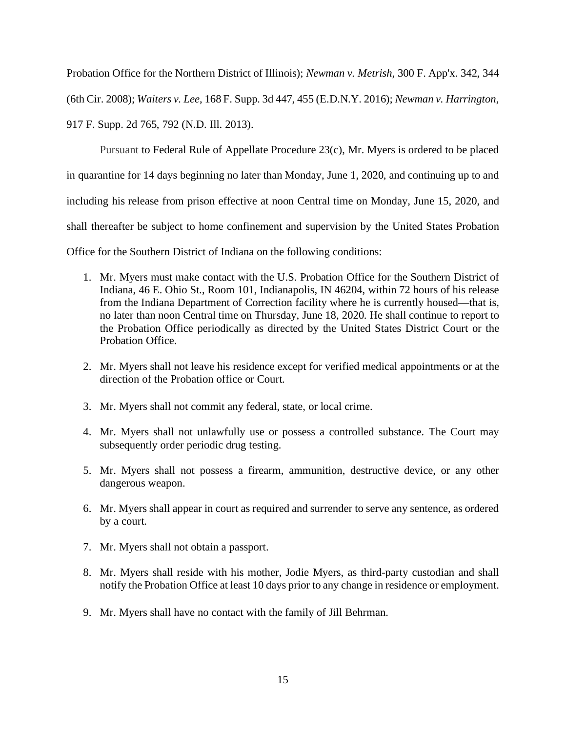Probation Office for the Northern District of Illinois); *Newman v. Metrish*, 300 F. App'x. 342, 344

(6th Cir. 2008); *Waiters v. Lee*, 168 F. Supp. 3d 447, 455 (E.D.N.Y. 2016); *Newman v. Harrington*,

917 F. Supp. 2d 765, 792 (N.D. Ill. 2013).

Pursuant to Federal Rule of Appellate Procedure 23(c), Mr. Myers is ordered to be placed in quarantine for 14 days beginning no later than Monday, June 1, 2020, and continuing up to and including his release from prison effective at noon Central time on Monday, June 15, 2020, and shall thereafter be subject to home confinement and supervision by the United States Probation Office for the Southern District of Indiana on the following conditions:

- 1. Mr. Myers must make contact with the U.S. Probation Office for the Southern District of Indiana, 46 E. Ohio St., Room 101, Indianapolis, IN 46204, within 72 hours of his release from the Indiana Department of Correction facility where he is currently housed—that is, no later than noon Central time on Thursday, June 18, 2020. He shall continue to report to the Probation Office periodically as directed by the United States District Court or the Probation Office.
- 2. Mr. Myers shall not leave his residence except for verified medical appointments or at the direction of the Probation office or Court.
- 3. Mr. Myers shall not commit any federal, state, or local crime.
- 4. Mr. Myers shall not unlawfully use or possess a controlled substance. The Court may subsequently order periodic drug testing.
- 5. Mr. Myers shall not possess a firearm, ammunition, destructive device, or any other dangerous weapon.
- 6. Mr. Myers shall appear in court as required and surrender to serve any sentence, as ordered by a court.
- 7. Mr. Myers shall not obtain a passport.
- 8. Mr. Myers shall reside with his mother, Jodie Myers, as third-party custodian and shall notify the Probation Office at least 10 days prior to any change in residence or employment.
- 9. Mr. Myers shall have no contact with the family of Jill Behrman.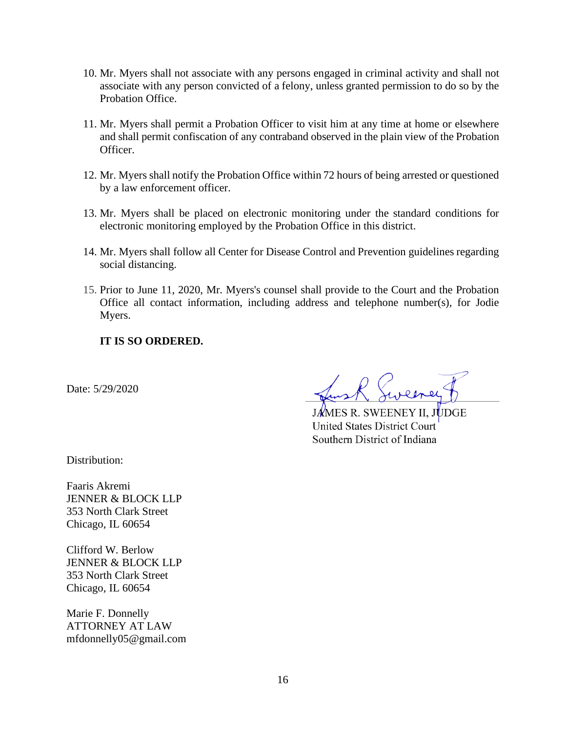- 10. Mr. Myers shall not associate with any persons engaged in criminal activity and shall not associate with any person convicted of a felony, unless granted permission to do so by the Probation Office.
- 11. Mr. Myers shall permit a Probation Officer to visit him at any time at home or elsewhere and shall permit confiscation of any contraband observed in the plain view of the Probation Officer.
- 12. Mr. Myers shall notify the Probation Office within 72 hours of being arrested or questioned by a law enforcement officer.
- 13. Mr. Myers shall be placed on electronic monitoring under the standard conditions for electronic monitoring employed by the Probation Office in this district.
- 14. Mr. Myers shall follow all Center for Disease Control and Prevention guidelines regarding social distancing.
- 15. Prior to June 11, 2020, Mr. Myers's counsel shall provide to the Court and the Probation Office all contact information, including address and telephone number(s), for Jodie Myers.

# **IT IS SO ORDERED.**

Date: 5/29/2020

**JAMES R. SWEENEY II, JUDGE United States District Court** Southern District of Indiana

Distribution:

Faaris Akremi JENNER & BLOCK LLP 353 North Clark Street Chicago, IL 60654

Clifford W. Berlow JENNER & BLOCK LLP 353 North Clark Street Chicago, IL 60654

Marie F. Donnelly ATTORNEY AT LAW mfdonnelly05@gmail.com